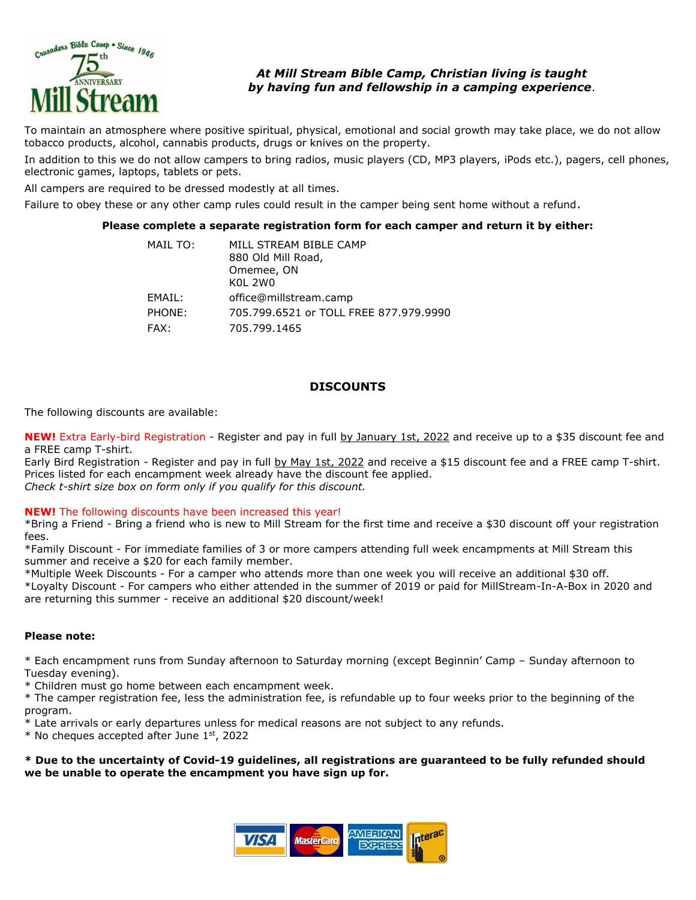

## *At Mill Stream Bible Camp, Christian living is taught by having fun and fellowship in a camping experience*.

To maintain an atmosphere where positive spiritual, physical, emotional and social growth may take place, we do not allow tobacco products, alcohol, cannabis products, drugs or knives on the property.

In addition to this we do not allow campers to bring radios, music players (CD, MP3 players, iPods etc.), pagers, cell phones, electronic games, laptops, tablets or pets.

All campers are required to be dressed modestly at all times.

Failure to obey these or any other camp rules could result in the camper being sent home without a refund.

#### **Please complete a separate registration form for each camper and return it by either:**

| MAIL TO: | MILL STREAM BIBLE CAMP<br>880 Old Mill Road,<br>Omemee, ON<br>KOL 2W0 |
|----------|-----------------------------------------------------------------------|
| EMAIL:   | office@millstream.camp                                                |
| PHONE:   | 705.799.6521 or TOLL FREE 877.979.9990                                |
| FAX:     | 705.799.1465                                                          |

### **DISCOUNTS**

#### The following discounts are available:

**NEW!** Extra Early-bird Registration - Register and pay in full by January 1st, 2022 and receive up to a \$35 discount fee and a FREE camp T-shirt.

Early Bird Registration - Register and pay in full by May 1st, 2022 and receive a \$15 discount fee and a FREE camp T-shirt. Prices listed for each encampment week already have the discount fee applied. *Check t-shirt size box on form only if you qualify for this discount.*

#### **NEW!** The following discounts have been increased this year!

\*Bring a Friend - Bring a friend who is new to Mill Stream for the first time and receive a \$30 discount off your registration fees.

\*Family Discount - For immediate families of 3 or more campers attending full week encampments at Mill Stream this summer and receive a \$20 for each family member.

\*Multiple Week Discounts - For a camper who attends more than one week you will receive an additional \$30 off. \*Loyalty Discount - For campers who either attended in the summer of 2019 or paid for MillStream-In-A-Box in 2020 and are returning this summer - receive an additional \$20 discount/week!

#### **Please note:**

\* Each encampment runs from Sunday afternoon to Saturday morning (except Beginnin' Camp – Sunday afternoon to Tuesday evening).

\* Children must go home between each encampment week.

\* The camper registration fee, less the administration fee, is refundable up to four weeks prior to the beginning of the program.

\* Late arrivals or early departures unless for medical reasons are not subject to any refunds.

 $*$  No cheques accepted after June 1st, 2022

**\* Due to the uncertainty of Covid-19 guidelines, all registrations are guaranteed to be fully refunded should we be unable to operate the encampment you have sign up for.**